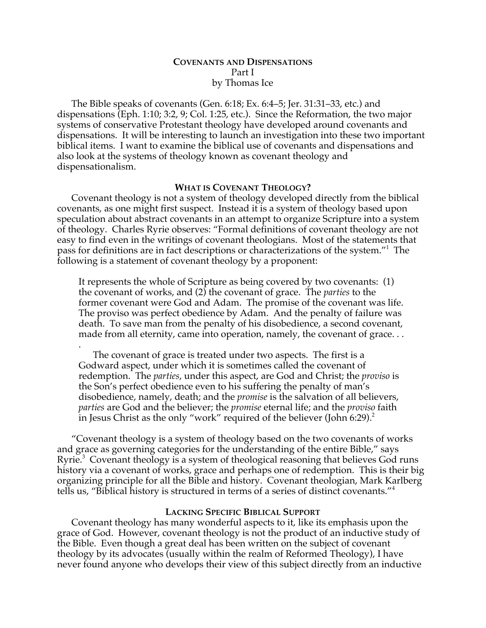# **COVENANTS AND DISPENSATIONS** Part I by Thomas Ice

The Bible speaks of covenants (Gen. 6:18; Ex. 6:4–5; Jer. 31:31–33, etc.) and dispensations (Eph. 1:10; 3:2, 9; Col. 1:25, etc.). Since the Reformation, the two major systems of conservative Protestant theology have developed around covenants and dispensations. It will be interesting to launch an investigation into these two important biblical items. I want to examine the biblical use of covenants and dispensations and also look at the systems of theology known as covenant theology and dispensationalism.

## **WHAT IS COVENANT THEOLOGY?**

Covenant theology is not a system of theology developed directly from the biblical covenants, as one might first suspect. Instead it is a system of theology based upon speculation about abstract covenants in an attempt to organize Scripture into a system of theology. Charles Ryrie observes: "Formal definitions of covenant theology are not easy to find even in the writings of covenant theologians. Most of the statements that pass for definitions are in fact descriptions or characterizations of the system."1 The following is a statement of covenant theology by a proponent:

It represents the whole of Scripture as being covered by two covenants: (1) the covenant of works, and (2) the covenant of grace. The *parties* to the former covenant were God and Adam. The promise of the covenant was life. The proviso was perfect obedience by Adam. And the penalty of failure was death. To save man from the penalty of his disobedience, a second covenant, made from all eternity, came into operation, namely, the covenant of grace...

The covenant of grace is treated under two aspects. The first is a Godward aspect, under which it is sometimes called the covenant of redemption. The *parties*, under this aspect, are God and Christ; the *proviso* is the Son's perfect obedience even to his suffering the penalty of man's disobedience, namely, death; and the *promise* is the salvation of all believers, *parties* are God and the believer; the *promise* eternal life; and the *proviso* faith in Jesus Christ as the only "work" required of the believer (John 6:29).<sup>2</sup>

.

"Covenant theology is a system of theology based on the two covenants of works and grace as governing categories for the understanding of the entire Bible," says Ryrie.<sup>3</sup> Covenant theology is a system of theological reasoning that believes God runs history via a covenant of works, grace and perhaps one of redemption. This is their big organizing principle for all the Bible and history. Covenant theologian, Mark Karlberg tells us, "Biblical history is structured in terms of a series of distinct covenants."<sup>4</sup>

### **LACKING SPECIFIC BIBLICAL SUPPORT**

Covenant theology has many wonderful aspects to it, like its emphasis upon the grace of God. However, covenant theology is not the product of an inductive study of the Bible. Even though a great deal has been written on the subject of covenant theology by its advocates (usually within the realm of Reformed Theology), I have never found anyone who develops their view of this subject directly from an inductive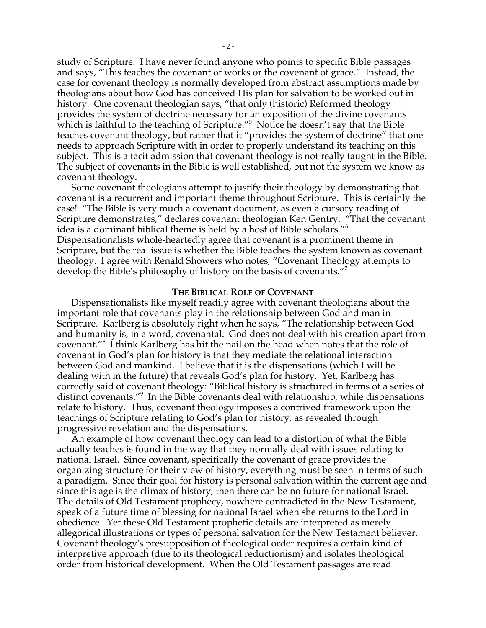study of Scripture. I have never found anyone who points to specific Bible passages and says, "This teaches the covenant of works or the covenant of grace." Instead, the case for covenant theology is normally developed from abstract assumptions made by theologians about how God has conceived His plan for salvation to be worked out in history. One covenant theologian says, "that only (historic) Reformed theology provides the system of doctrine necessary for an exposition of the divine covenants which is faithful to the teaching of Scripture."5 Notice he doesn't say that the Bible teaches covenant theology, but rather that it "provides the system of doctrine" that one needs to approach Scripture with in order to properly understand its teaching on this subject. This is a tacit admission that covenant theology is not really taught in the Bible. The subject of covenants in the Bible is well established, but not the system we know as covenant theology.

Some covenant theologians attempt to justify their theology by demonstrating that covenant is a recurrent and important theme throughout Scripture. This is certainly the case! "The Bible is very much a covenant document, as even a cursory reading of Scripture demonstrates," declares covenant theologian Ken Gentry. "That the covenant idea is a dominant biblical theme is held by a host of Bible scholars."<sup>6</sup> Dispensationalists whole-heartedly agree that covenant is a prominent theme in Scripture, but the real issue is whether the Bible teaches the system known as covenant theology. I agree with Renald Showers who notes, "Covenant Theology attempts to develop the Bible's philosophy of history on the basis of covenants."7

#### **THE BIBLICAL ROLE OF COVENANT**

Dispensationalists like myself readily agree with covenant theologians about the important role that covenants play in the relationship between God and man in Scripture. Karlberg is absolutely right when he says, "The relationship between God and humanity is, in a word, covenantal. God does not deal with his creation apart from covenant."<sup>8</sup> I think Karlberg has hit the nail on the head when notes that the role of covenant in God's plan for history is that they mediate the relational interaction between God and mankind. I believe that it is the dispensations (which I will be dealing with in the future) that reveals God's plan for history. Yet, Karlberg has correctly said of covenant theology: "Biblical history is structured in terms of a series of distinct covenants."9 In the Bible covenants deal with relationship, while dispensations relate to history. Thus, covenant theology imposes a contrived framework upon the teachings of Scripture relating to God's plan for history, as revealed through progressive revelation and the dispensations.

An example of how covenant theology can lead to a distortion of what the Bible actually teaches is found in the way that they normally deal with issues relating to national Israel. Since covenant, specifically the covenant of grace provides the organizing structure for their view of history, everything must be seen in terms of such a paradigm. Since their goal for history is personal salvation within the current age and since this age is the climax of history, then there can be no future for national Israel. The details of Old Testament prophecy, nowhere contradicted in the New Testament, speak of a future time of blessing for national Israel when she returns to the Lord in obedience. Yet these Old Testament prophetic details are interpreted as merely allegorical illustrations or types of personal salvation for the New Testament believer. Covenant theology's presupposition of theological order requires a certain kind of interpretive approach (due to its theological reductionism) and isolates theological order from historical development. When the Old Testament passages are read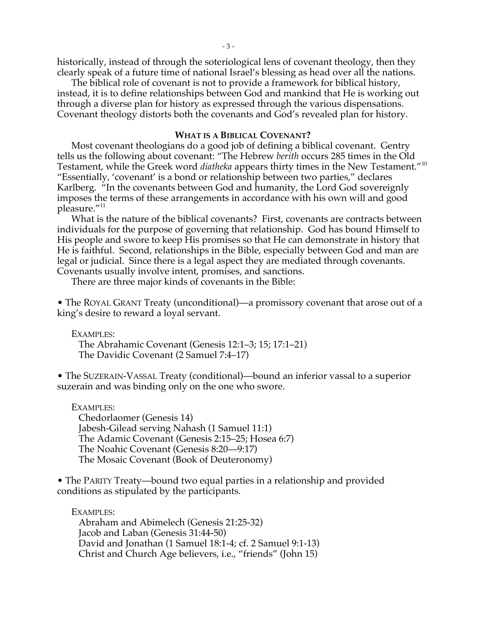historically, instead of through the soteriological lens of covenant theology, then they clearly speak of a future time of national Israel's blessing as head over all the nations.

The biblical role of covenant is not to provide a framework for biblical history, instead, it is to define relationships between God and mankind that He is working out through a diverse plan for history as expressed through the various dispensations. Covenant theology distorts both the covenants and God's revealed plan for history.

## **WHAT IS A BIBLICAL COVENANT?**

Most covenant theologians do a good job of defining a biblical covenant. Gentry tells us the following about covenant: "The Hebrew *berith* occurs 285 times in the Old Testament, while the Greek word *diatheka* appears thirty times in the New Testament."<sup>10</sup> "Essentially, 'covenant' is a bond or relationship between two parties," declares Karlberg. "In the covenants between God and humanity, the Lord God sovereignly imposes the terms of these arrangements in accordance with his own will and good pleasure."<sup>11</sup>

What is the nature of the biblical covenants? First, covenants are contracts between individuals for the purpose of governing that relationship. God has bound Himself to His people and swore to keep His promises so that He can demonstrate in history that He is faithful. Second, relationships in the Bible, especially between God and man are legal or judicial. Since there is a legal aspect they are mediated through covenants. Covenants usually involve intent, promises, and sanctions.

There are three major kinds of covenants in the Bible:

• The ROYAL GRANT Treaty (unconditional)—a promissory covenant that arose out of a king's desire to reward a loyal servant.

EXAMPLES: The Abrahamic Covenant (Genesis 12:1–3; 15; 17:1–21) The Davidic Covenant (2 Samuel 7:4–17)

• The SUZERAIN-VASSAL Treaty (conditional)—bound an inferior vassal to a superior suzerain and was binding only on the one who swore.

EXAMPLES: Chedorlaomer (Genesis 14) Jabesh-Gilead serving Nahash (1 Samuel 11:1) The Adamic Covenant (Genesis 2:15–25; Hosea 6:7) The Noahic Covenant (Genesis 8:20—9:17) The Mosaic Covenant (Book of Deuteronomy)

• The PARITY Treaty—bound two equal parties in a relationship and provided conditions as stipulated by the participants.

EXAMPLES: Abraham and Abimelech (Genesis 21:25-32) Jacob and Laban (Genesis 31:44-50) David and Jonathan (1 Samuel 18:1-4; cf. 2 Samuel 9:1-13) Christ and Church Age believers, i.e., "friends" (John 15)